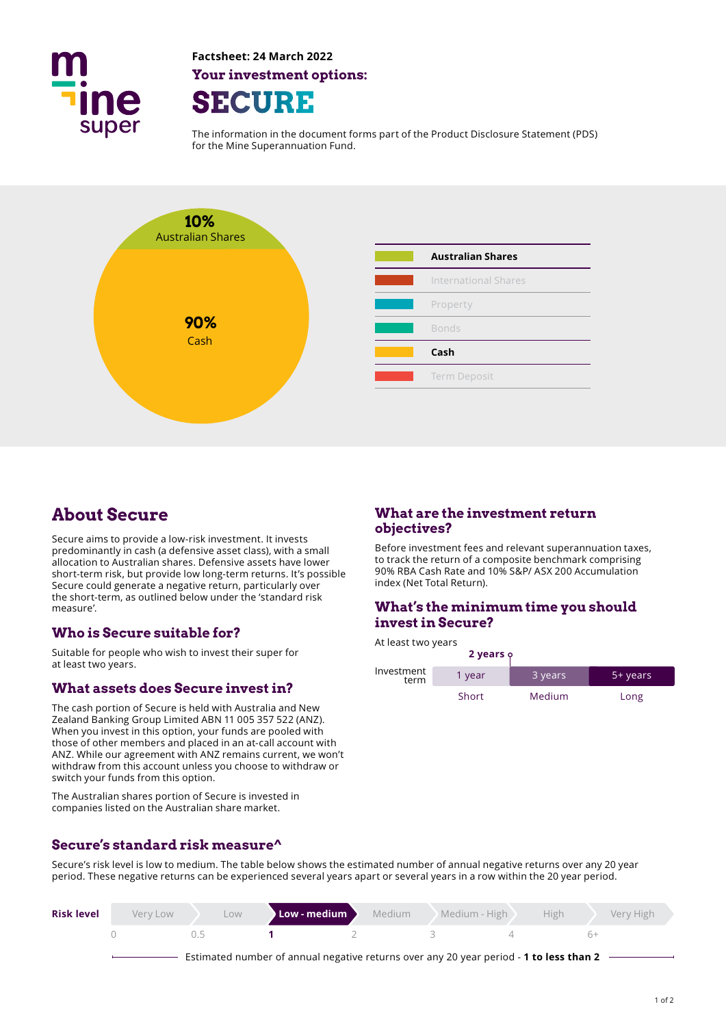

**Factsheet: 24 March 2022 Your investment options: SECURE** 

The information in the document forms part of the Product Disclosure Statement (PDS) for the Mine Superannuation Fund.



# **About Secure**

Secure aims to provide a low-risk investment. It invests predominantly in cash (a defensive asset class), with a small allocation to Australian shares. Defensive assets have lower short-term risk, but provide low long-term returns. It's possible Secure could generate a negative return, particularly over the short-term, as outlined below under the 'standard risk measure'.

## **Who is Secure suitable for?**

Suitable for people who wish to invest their super for at least two years.

## **What assets does Secure invest in?**

The cash portion of Secure is held with Australia and New Zealand Banking Group Limited ABN 11 005 357 522 (ANZ). When you invest in this option, your funds are pooled with those of other members and placed in an at-call account with ANZ. While our agreement with ANZ remains current, we won't withdraw from this account unless you choose to withdraw or switch your funds from this option.

The Australian shares portion of Secure is invested in companies listed on the Australian share market.

## **Secure's standard risk measure^**

### **What are the investment return objectives?**

Before investment fees and relevant superannuation taxes, to track the return of a composite benchmark comprising 90% RBA Cash Rate and 10% S&P/ ASX 200 Accumulation index (Net Total Return).

## **What's the minimum time you should invest in Secure?**

At least two years **2 years**  Investment term Short Medium Long 1 year 3 years 5+ years

Secure's risk level is low to medium. The table below shows the estimated number of annual negative returns over any 20 year period. These negative returns can be experienced several years apart or several years in a row within the 20 year period.

| <b>Risk level</b> | Very Low | Low | Low - medium $\sum$                                                                    | <b>Medium</b> | $\mathcal{C}$ Medium - High $\mathcal{C}$ | <b>High</b> | Very High |
|-------------------|----------|-----|----------------------------------------------------------------------------------------|---------------|-------------------------------------------|-------------|-----------|
|                   |          | 15  |                                                                                        |               |                                           |             |           |
|                   |          |     | Estimated number of annual negative returns over any 20 year period - 1 to less than 2 |               |                                           |             |           |